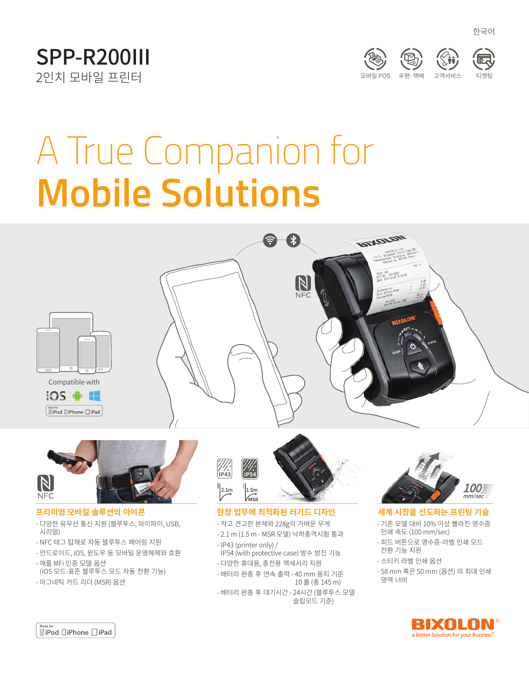





한국어

# A True Companion for **Mobile Solutions**









## **프리미엄 모바일 솔루션의 아이콘**

- 다양한 유무선 통신 지원 (블루투스, 와이파이, USB, 시리얼)
- NFC 태그 탑재로 자동 블루투스 페어링 지원
- 안드로이드, iOS, 윈도우 등 모바일 운영체제와 호환
- 애플 MFi 인증 모델 옵션 (iOS 모드-표준 블루투스 모드 자동 전환 기능)
- 마그네틱 카드 리더 (MSR) 옵션



## **현장 업무에 최적화된 러기드 디자인**

- 작고 견고한 본체와 228g의 가벼운 무게
- 2.1 m (1.5 m MSR 모델) 낙하충격시험 통과 - IP43 (printer only) /
- IP54 (with protective case) 방수 방진 기능 - 다양한 휴대용, 충전용 액세서리 지원
- 배터리 완충 후 연속 출력 40 mm 용지 기준 10 롤 (총 145 m)
- 배터리 완충 후 대기시간 24시간 (블루투스 모델 슬립모드 기준)



## **세계 시장을 선도하는 프린팅 기술**

- 기존 모델 대비 10% 이상 빨라진 영수증 인쇄 속도 (100 mm/sec)
- 피드 버튼으로 영수증-라벨 인쇄 모드 전환 기능 지원
- 스티키 라벨 인쇄 옵션
- 58 mm 혹은 50 mm (옵션) 의 최대 인쇄 영역 너비



**SiPod □iPhone** □iPad